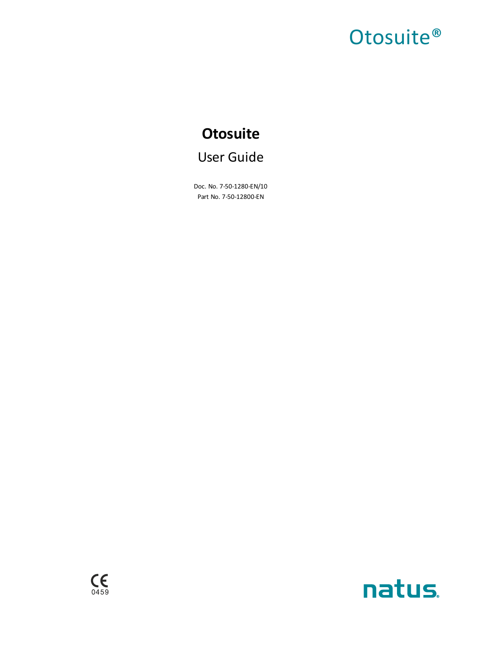# Otosuite®

# **Otosuite** User Guide

Doc. No. 7-50-1280-EN/10 Part No. 7-50-12800-EN



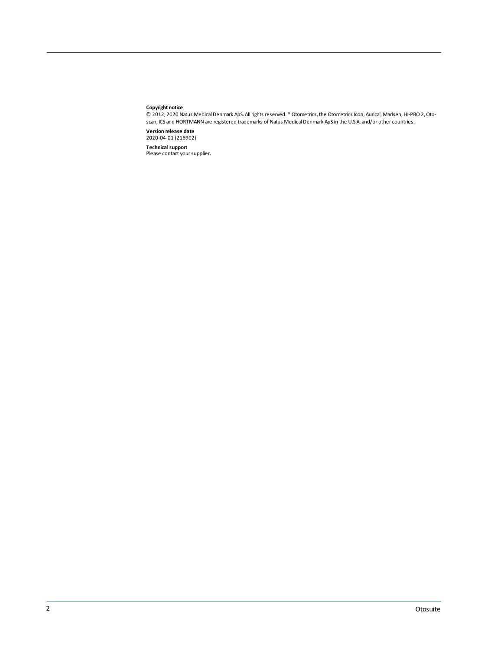#### **Copyright notice**

© 2012, 2020 Natus Medical Denmark ApS. Allrights reserved. ® Otometrics,the Otometrics Icon, Aurical, Madsen,HI-PRO 2,Otoscan, ICS and HORTMANN are registered trademarks of Natus Medical Denmark ApS in the U.S.A. and/or other countries.

**Version release date** 2020-04-01 (216902)

**Technical support**<br>Please contact your supplier.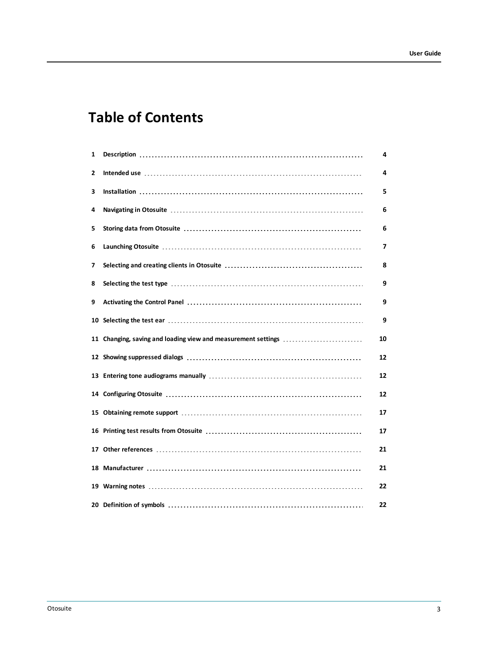# **Table of Contents**

| 1 |                                                               | 4  |
|---|---------------------------------------------------------------|----|
| 2 |                                                               | 4  |
| 3 |                                                               | 5  |
| 4 |                                                               | 6  |
| 5 |                                                               | 6  |
| 6 |                                                               | 7  |
| 7 |                                                               | 8  |
| 8 |                                                               | 9  |
| 9 |                                                               | 9  |
|   |                                                               | 9  |
|   |                                                               |    |
|   | 11 Changing, saving and loading view and measurement settings | 10 |
|   |                                                               | 12 |
|   |                                                               | 12 |
|   |                                                               | 12 |
|   |                                                               | 17 |
|   |                                                               | 17 |
|   |                                                               | 21 |
|   |                                                               | 21 |
|   |                                                               | 22 |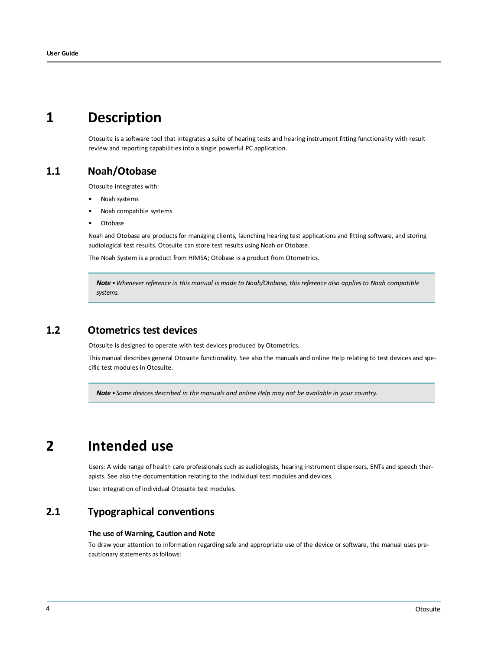# **1 Description**

<span id="page-3-0"></span>Otosuite is a software tool that integrates a suite of hearing tests and hearing instrument fitting functionality with result review and reporting capabilities into a single powerful PC application.

## **1.1 Noah/Otobase**

Otosuite integrates with:

- Noah systems
- Noah compatible systems
- Otobase

Noah and Otobase are products for managing clients, launching hearing test applications and fitting software, and storing audiological test results. Otosuite can store test results using Noah or Otobase.

The Noah System is a product from HIMSA; Otobase is a product from Otometrics.

Note . Whenever reference in this manual is made to Noah/Otobase, this reference also applies to Noah compatible *systems.*

# **1.2 Otometrics test devices**

Otosuite is designed to operate with test devices produced by Otometrics.

This manual describes general Otosuite functionality. See also the manuals and online Help relating to test devices and specific test modules in Otosuite.

<span id="page-3-1"></span>*Note • Some devices described in the manuals and online Help may not be available in your country.*

# **2 Intended use**

Users: A wide range of health care professionals such as audiologists, hearing instrument dispensers, ENTs and speech therapists. See also the documentation relating to the individual test modules and devices.

Use: Integration of individual Otosuite test modules.

# **2.1 Typographical conventions**

### **The use of Warning, Caution and Note**

To draw your attention to information regarding safe and appropriate use of the device or software, the manual uses precautionary statements as follows: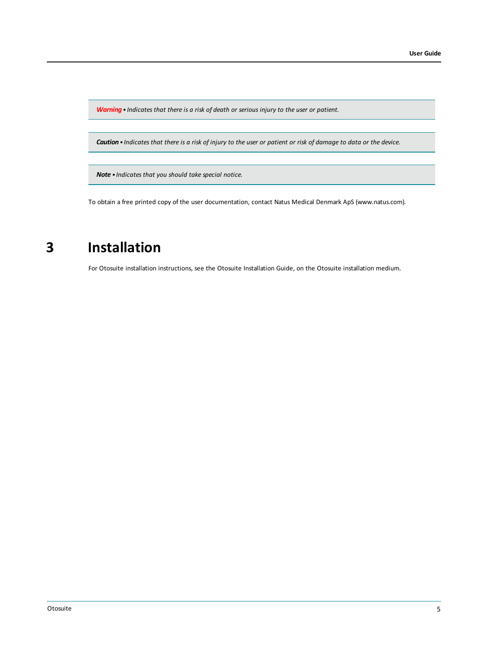*Warning• Indicates that there is a risk of death or serious injury to the user or patient.*

Caution . Indicates that there is a risk of injury to the user or patient or risk of damage to data or the device.

*Note • Indicates that you should take special notice.*

<span id="page-4-0"></span>To obtain a free printed copy of the user documentation, contact Natus Medical Denmark ApS (www.natus.com).

# **3 Installation**

For Otosuite installation instructions, see the Otosuite Installation Guide, on the Otosuite installation medium.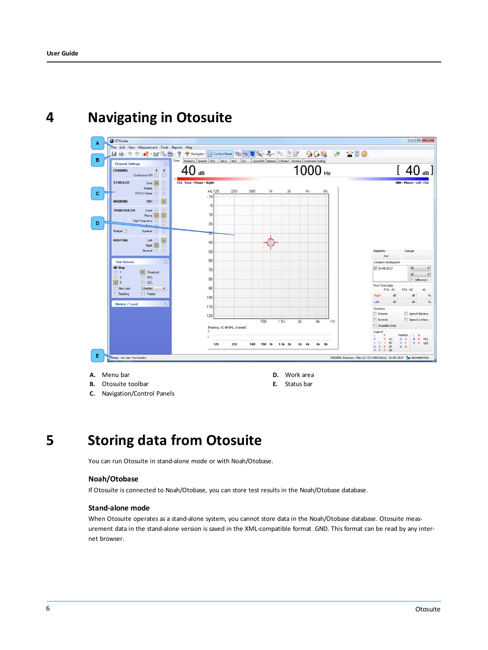<span id="page-5-0"></span>

# **4 Navigating in Otosuite**

**A.** Menu bar

- **B.** Otosuite toolbar
- <span id="page-5-1"></span>**C.** Navigation/Control Panels
- **D.** Work area
- **E.** Status bar

# **5 Storing data from Otosuite**

You can run Otosuite in stand-alone mode or with Noah/Otobase.

## **Noah/Otobase**

If Otosuite is connected to Noah/Otobase, you can store test results in the Noah/Otobase database.

## **Stand-alone mode**

When Otosuite operates as a stand-alone system, you cannot store data in the Noah/Otobase database. Otosuite measurement data in the stand-alone version is saved in the XML-compatible format .GND. This format can be read by any internet browser.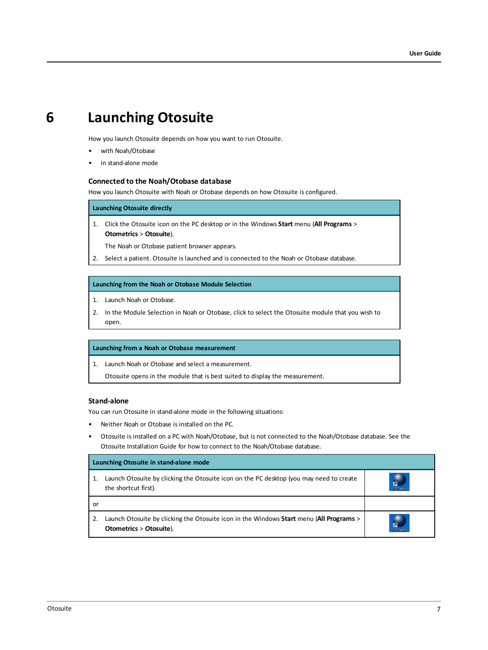# **6 Launching Otosuite**

<span id="page-6-0"></span>How you launch Otosuite depends on how you want to run Otosuite.

- with Noah/Otobase
- in stand-alone mode

### **Connected to the Noah/Otobase database**

How you launch Otosuite with Noah or Otobase depends on how Otosuite is configured.

**Launching Otosuite directly**

1. Click the Otosuite icon on the PC desktop or in the Windows **Start** menu (**All Programs** > **Otometrics** > **Otosuite**).

The Noah or Otobase patient browser appears.

2. Select a patient. Otosuite is launched and is connected to the Noah or Otobase database.

### **Launching from the Noah or Otobase Module Selection**

- 1. Launch Noah or Otobase.
- 2. In the Module Selection in Noah or Otobase, click to select the Otosuite module that you wish to open.

### **Launching from a Noah or Otobase measurement**

1. Launch Noah or Otobase and select a measurement.

Otosuite opens in the module that is best suited to display the measurement.

### **Stand-alone**

You can run Otosuite in stand-alone mode in the following situations:

- Neither Noah or Otobase is installed on the PC.
- Otosuite is installed on a PC with Noah/Otobase, but is not connected to the Noah/Otobase database. See the Otosuite Installation Guide for how to connect to the Noah/Otobase database.

|    | Launching Otosuite in stand-alone mode                                                                             |                                   |  |
|----|--------------------------------------------------------------------------------------------------------------------|-----------------------------------|--|
| 1. | Launch Otosuite by clicking the Otosuite icon on the PC desktop (you may need to create<br>the shortcut first).    | $\overline{a}$<br><b>OTOsuite</b> |  |
| or |                                                                                                                    |                                   |  |
| 2. | Launch Otosuite by clicking the Otosuite icon in the Windows Start menu (All Programs ><br>Otometrics > Otosuite). | a<br><b>OTOsuite</b>              |  |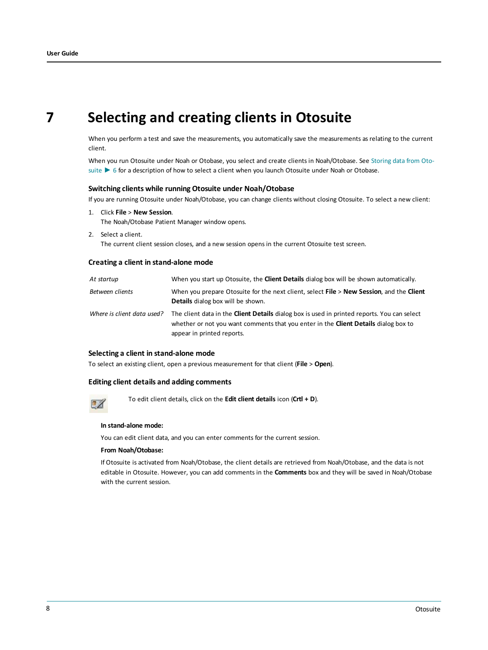# **7 Selecting and creating clients in Otosuite**

<span id="page-7-0"></span>When you perform a test and save the measurements, you automatically save the measurements as relating to the current client.

When you run Otosuite under Noah or Otobase, you select and create clients in Noah/Otobase. See [Storing](#page-5-1) data from Oto[suite](#page-5-1) ► 6 for a description of how to select a client when you launch Otosuite under Noah or Otobase.

### **Switching clients while running Otosuite under Noah/Otobase**

If you are running Otosuite under Noah/Otobase, you can change clients without closing Otosuite. To select a new client:

1. Click **File** > **New Session**.

The Noah/Otobase Patient Manager window opens.

2. Select a client. The current client session closes, and a new session opens in the current Otosuite test screen.

### **Creating a client in stand-alone mode**

| At startup                 | When you start up Otosuite, the <b>Client Details</b> dialog box will be shown automatically.                                                                                                                                  |
|----------------------------|--------------------------------------------------------------------------------------------------------------------------------------------------------------------------------------------------------------------------------|
| Between clients            | When you prepare Otosuite for the next client, select File > New Session, and the Client<br><b>Details</b> dialog box will be shown.                                                                                           |
| Where is client data used? | The client data in the <b>Client Details</b> dialog box is used in printed reports. You can select<br>whether or not you want comments that you enter in the <b>Client Details</b> dialog box to<br>appear in printed reports. |

### **Selecting a client in stand-alone mode**

To select an existing client, open a previous measurement for that client (**File** > **Open**).

## **Editing client details and adding comments**



To edit client details, click on the **Edit client details** icon (**Crtl + D**).

#### **In stand-alone mode:**

You can edit client data, and you can enter comments for the current session.

#### **From Noah/Otobase:**

If Otosuite is activated from Noah/Otobase, the client details are retrieved from Noah/Otobase, and the data is not editable in Otosuite. However, you can add comments in the **Comments** box and they will be saved in Noah/Otobase with the current session.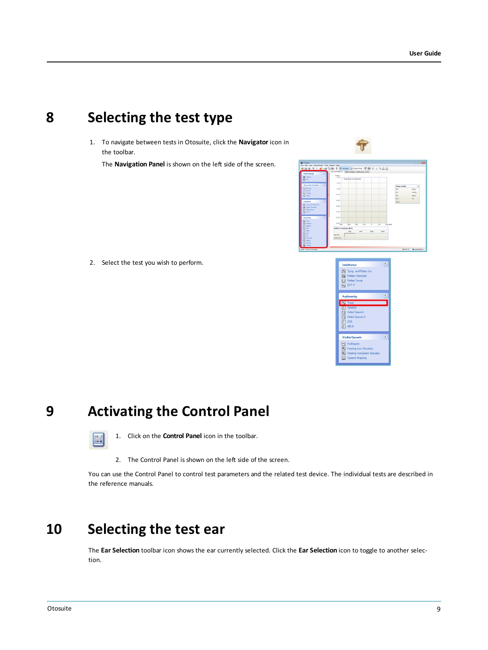# <span id="page-8-0"></span>**8 Selecting the test type**

1. To navigate between tests in Otosuite, click the **Navigator** icon in the toolbar.

The **Navigation Panel** is shown on the left side of the screen.



|                                                                          | ■日本ワッパ·ゴーコ ? テ www 日 Constant や新の10000<br>. Tyre: and Reflex Str. Barbox Threshold   Reflex Decay   £19.4 |                |
|--------------------------------------------------------------------------|-----------------------------------------------------------------------------------------------------------|----------------|
| ٥<br><b>Video Otomore</b><br><b>B</b> Curun<br><b>HI</b> Lot             | mmho<br>$1.50 -$<br>V Hagnitude compensated<br>œ                                                          |                |
| $\circ$<br><b>Otaacousts Engineers</b>                                   | $1.26 -$<br><b>Tymp results</b>                                                                           | <b>Ho</b>      |
| <b>EX OF-pam</b><br><b>Died</b> R                                        | 1.00<br>TPP<br>×<br>sa.                                                                                   | dalla<br>menha |
| <b>SI frout</b><br>A SOM                                                 | 0.76<br>TH                                                                                                | dalla          |
| $\circ$<br><b>Source There</b>                                           | <b>RCV</b><br>$0.55 -$<br><b>Yune</b>                                                                     | $\sim$         |
| 20 Tung, and Parlies Scr.<br>Parlas Threshold<br><b>Ed Father Decisy</b> | 0.25                                                                                                      |                |
| <b>N</b> Die                                                             | 0.00                                                                                                      |                |
| ø<br><b>Audioeco</b> wy                                                  | $-0.35$                                                                                                   |                |
| <b>NJ Time</b><br><b>Vill Pediatric</b><br>1 Speech                      | $-0.80 - 1$<br><b>AND</b><br>$-300$<br>$-200$<br>$-100$<br>100<br>200 dalla<br>٠                          |                |
| <b>G</b> so                                                              | Reflex screening, dB HL                                                                                   |                |
| 7.01<br>$-1$ M.D.<br>$\Box$ $\omega$<br>1 Questin<br><b>E.2 Enhance</b>  | 1000 2000 4000<br>500<br>Zawi (N.)<br>Cartra (L)                                                          |                |
| <b>DE Li<sup>p</sup>test</b>                                             |                                                                                                           |                |

2. Select the test you wish to perform.



# **9 Activating the Control Panel**

<span id="page-8-1"></span>

1. Click on the **Control Panel** icon in the toolbar.

2. The Control Panel is shown on the left side of the screen.

<span id="page-8-2"></span>You can use the Control Panel to control test parameters and the related test device. The individual tests are described in the reference manuals.

# **10 Selecting the test ear**

The **Ear Selection** toolbar icon shows the ear currently selected. Click the **Ear Selection** icon to toggle to another selection.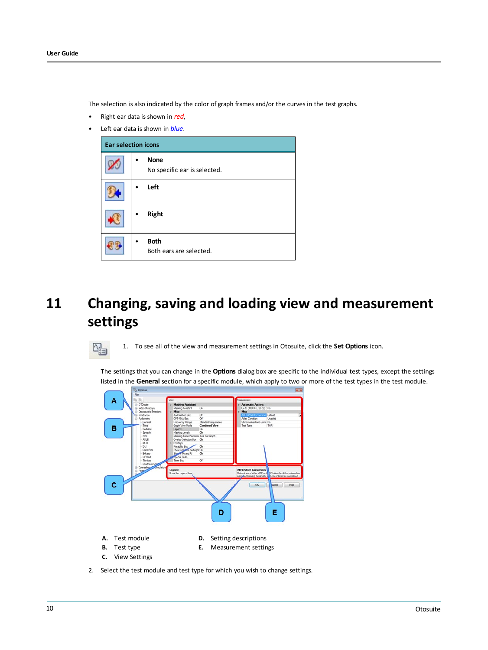The selection is also indicated by the color of graph frames and/or the curves in the test graphs.

- Right ear data is shown in *red*,
- Left ear data is shown in *blue*.

 $\boxed{\Delta_{\text{min}}^2}$ 

| <b>Ear selection icons</b> |                                             |
|----------------------------|---------------------------------------------|
|                            | <b>None</b><br>No specific ear is selected. |
|                            | Left                                        |
|                            | <b>Right</b>                                |
|                            | <b>Both</b><br>Both ears are selected.      |

# <span id="page-9-0"></span>**11 Changing, saving and loading view and measurement settings**

1. To see all of the view and measurement settings in Otosuite, click the **Set Options** icon.

The settings that you can change in the **Options** dialog box are specific to the individual test types, except the settings listed in the **General** section for a specific module, which apply to two or more of the test types in the test module.



2. Select the test module and test type for which you wish to change settings.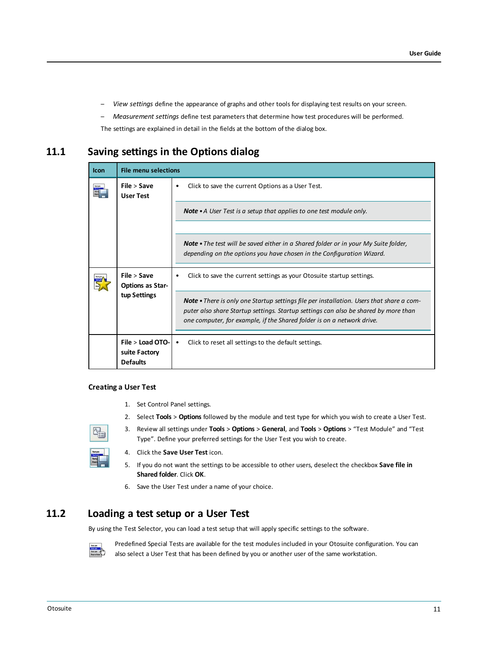- *View settings* define the appearance of graphs and other tools for displaying test results on your screen.
- *Measurement settings* define test parameters that determine how test procedures will be performed.

The settings are explained in detail in the fields at the bottom of the dialog box.

# **11.1 Saving settings in the Options dialog**

| Icon | <b>File menu selections</b>                            |                                                                                                                                                                                                                                                                  |
|------|--------------------------------------------------------|------------------------------------------------------------------------------------------------------------------------------------------------------------------------------------------------------------------------------------------------------------------|
|      | File > Save<br><b>User Test</b>                        | Click to save the current Options as a User Test.<br>٠                                                                                                                                                                                                           |
|      |                                                        | <b>Note •</b> A User Test is a setup that applies to one test module only.                                                                                                                                                                                       |
|      |                                                        | <b>Note •</b> The test will be saved either in a Shared folder or in your My Suite folder,<br>depending on the options you have chosen in the Configuration Wizard.                                                                                              |
|      | File > Save<br><b>Options as Star-</b><br>tup Settings | Click to save the current settings as your Otosuite startup settings.                                                                                                                                                                                            |
|      |                                                        | <b>Note •</b> There is only one Startup settings file per installation. Users that share a com-<br>puter also share Startup settings. Startup settings can also be shared by more than<br>one computer, for example, if the Shared folder is on a network drive. |
|      | File $>$ Load OTO-<br>suite Factory<br><b>Defaults</b> | Click to reset all settings to the default settings.<br>$\bullet$                                                                                                                                                                                                |

### **Creating a User Test**

- 1. Set Control Panel settings.
- 2. Select **Tools** > **Options** followed by the module and test type for which you wish to create a User Test.



- 3. Review all settings under **Tools** > **Options** > **General**, and **Tools** > **Options** > "Test Module" and "Test Type". Define your preferred settings for the User Test you wish to create.
- 4. Click the **Save User Test** icon.
- 5. If you do not want the settings to be accessible to other users, deselect the checkbox **Save file in Shared folder**. Click **OK**.
- 6. Save the User Test under a name of your choice.

# **11.2 Loading a test setup or a User Test**

By using the Test Selector, you can load a test setup that will apply specific settings to the software.



Predefined Special Tests are available for the test modules included in your Otosuite configuration. You can also select a User Test that has been defined by you or another user of the same workstation.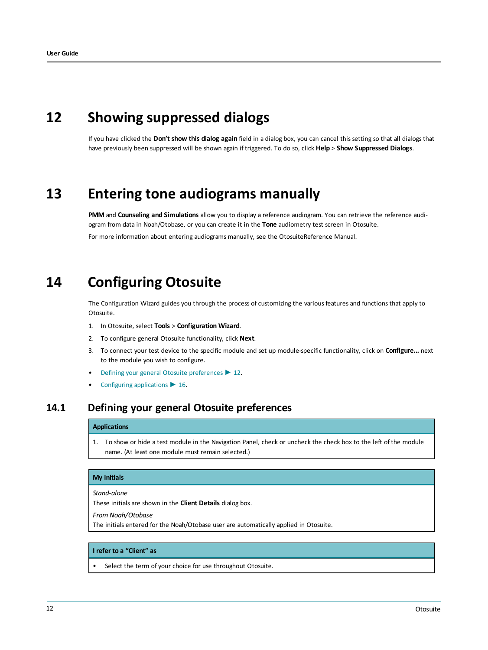# **12 Showing suppressed dialogs**

<span id="page-11-1"></span><span id="page-11-0"></span>If you have clicked the **Don't show this dialog again** field in a dialog box, you can cancel this setting so that all dialogs that have previously been suppressed will be shown again if triggered. To do so, click **Help** > **Show Suppressed Dialogs**.

# **13 Entering tone audiograms manually**

**PMM** and **Counseling and Simulations** allow you to display a reference audiogram. You can retrieve the reference audiogram from data in Noah/Otobase, or you can create it in the **Tone** audiometry test screen in Otosuite.

<span id="page-11-2"></span>For more information about entering audiograms manually, see the OtosuiteReference Manual.

# **14 Configuring Otosuite**

The Configuration Wizard guides you through the process of customizing the various features and functions that apply to Otosuite.

- 1. In Otosuite, select **Tools** > **Configuration Wizard**.
- 2. To configure general Otosuite functionality, click **Next**.
- 3. To connect your test device to the specific module and set up module-specific functionality, click on **Configure...** next to the module you wish to configure.
- Defining your general Otosuite [preferences](#page-11-3) ► 12.
- <span id="page-11-3"></span>• Configuring [applications](#page-15-0) ► 16.

# **14.1 Defining your general Otosuite preferences**

#### **Applications**

1. To show or hide a test module in the Navigation Panel, check or uncheck the check box to the left of the module name. (At least one module must remain selected.)

## **My initials**

*Stand-alone*

These initials are shown in the **Client Details** dialog box.

*From Noah/Otobase*

The initials entered for the Noah/Otobase user are automatically applied in Otosuite.

## **I refer to a "Client" as**

Select the term of your choice for use throughout Otosuite.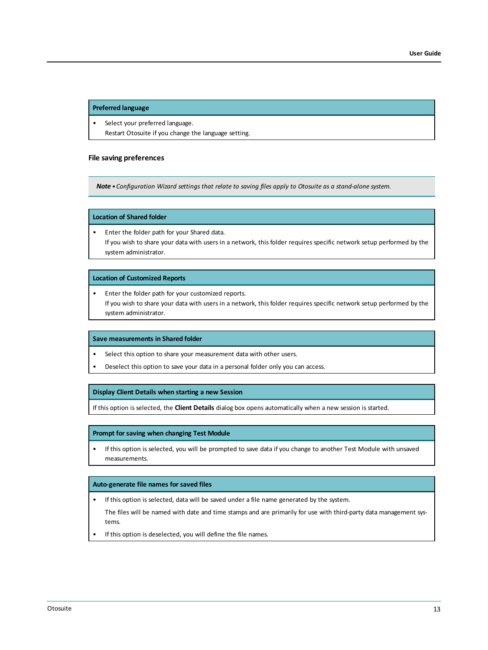#### **Preferred language**

- Select your preferred language.
	- Restart Otosuite if you change the language setting.

#### **File saving preferences**

Note . Configuration Wizard settings that relate to saving files apply to Otosuite as a stand-alone system.

## **Location of Shared folder**

• Enter the folder path for your Shared data. If you wish to share your data with users in a network, this folder requires specific network setup performed by the system administrator.

#### **Location of Customized Reports**

Enter the folder path for your customized reports. If you wish to share your data with users in a network, this folder requires specific network setup performed by the system administrator.

## **Save measurements in Shared folder**

- Select this option to share your measurement data with other users.
- Deselect this option to save your data in a personal folder only you can access.

#### **Display Client Details when starting a new Session**

If this option is selected, the **Client Details** dialog box opens automatically when a new session is started.

#### **Prompt for saving when changing Test Module**

• If this option is selected, you will be prompted to save data if you change to another Test Module with unsaved measurements.

### **Auto-generate file names for saved files**

- If this option is selected, data will be saved under a file name generated by the system.
- The files will be named with date and time stamps and are primarily for use with third-party data management systems.
- If this option is deselected, you will define the file names.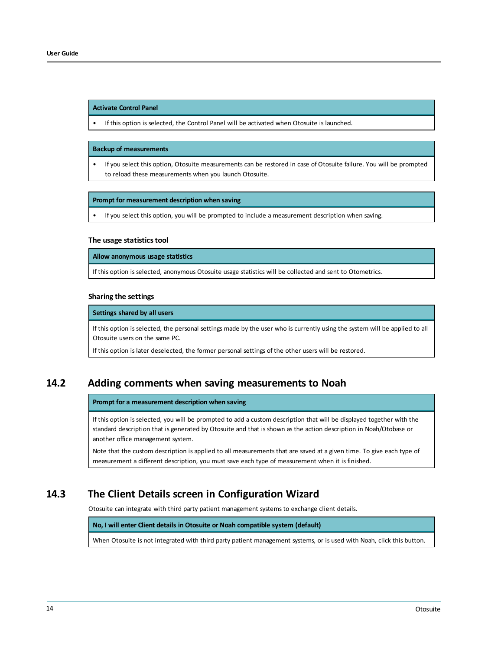#### **Activate Control Panel**

If this option is selected, the Control Panel will be activated when Otosuite is launched.

#### **Backup of measurements**

• If you select this option, Otosuite measurements can be restored in case of Otosuite failure. You will be prompted to reload these measurements when you launch Otosuite.

#### **Prompt for measurement description when saving**

• If you select this option, you will be prompted to include a measurement description when saving.

#### **The usage statisticstool**

**Allow anonymous usage statistics**

If this option is selected, anonymous Otosuite usage statistics will be collected and sent to Otometrics.

### **Sharing the settings**

#### **Settings shared by all users**

If this option is selected, the personal settings made by the user who is currently using the system will be applied to all Otosuite users on the same PC.

If this option is later deselected, the former personal settings of the other users will be restored.

## **14.2 Adding comments when saving measurements to Noah**

## **Prompt for a measurement description when saving**

If this option is selected, you will be prompted to add a custom description that will be displayed together with the standard description that is generated by Otosuite and that is shown as the action description in Noah/Otobase or another office management system.

Note that the custom description is applied to all measurements that are saved at a given time. To give each type of measurement a different description, you must save each type of measurement when it is finished.

## **14.3 The Client Details screen in Configuration Wizard**

Otosuite can integrate with third party patient management systems to exchange client details.

## **No, I will enter Client details in Otosuite or Noah compatible system (default)**

When Otosuite is not integrated with third party patient management systems, or is used with Noah, click this button.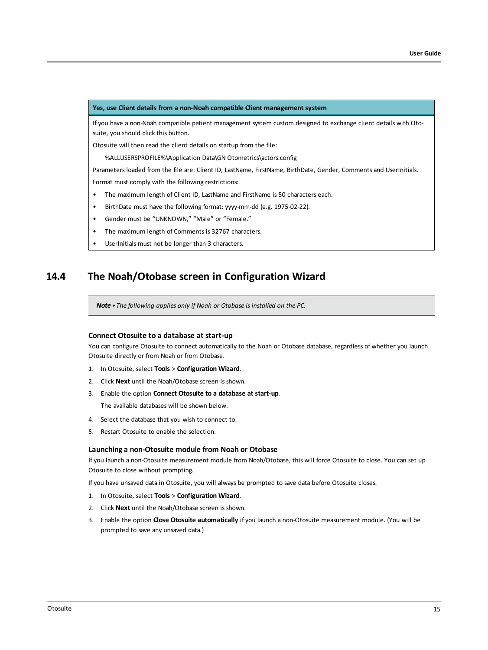#### **Yes, use Client details from a non-Noah compatible Client management system**

If you have a non-Noah compatible patient management system custom designed to exchange client details with Otosuite, you should click this button.

Otosuite will then read the client details on startup from the file:

%ALLUSERSPROFILE%\Application Data\GN Otometrics\actors.config

Parameters loaded from the file are: Client ID, LastName, FirstName, BirthDate, Gender, Comments and UserInitials. Format must comply with the following restrictions:

- The maximum length of Client ID, LastName and FirstName is 50 characters each.
- BirthDate must have the following format: yyyy-mm-dd (e.g. 1975-02-22).
- Gender must be "UNKNOWN," "Male" or "Female."
- The maximum length of Comments is 32767 characters.
- UserInitials must not be longer than 3 characters.

## **14.4 The Noah/Otobase screen in Configuration Wizard**

*Note • The following applies only if Noah or Otobase is installed on the PC.*

#### **Connect Otosuite to a database at start-up**

You can configure Otosuite to connect automatically to the Noah or Otobase database, regardless of whether you launch Otosuite directly or from Noah or from Otobase.

- 1. In Otosuite, select **Tools** > **Configuration Wizard**.
- 2. Click **Next** until the Noah/Otobase screen is shown.
- 3. Enable the option **Connect Otosuite to a database at start-up**. The available databases will be shown below.
- 4. Select the database that you wish to connect to.
- 5. Restart Otosuite to enable the selection.

## **Launching a non-Otosuite module from Noah or Otobase**

If you launch a non-Otosuite measurement module from Noah/Otobase, this will force Otosuite to close. You can set up Otosuite to close without prompting.

If you have unsaved data in Otosuite, you will always be prompted to save data before Otosuite closes.

- 1. In Otosuite, select **Tools** > **Configuration Wizard**.
- 2. Click **Next** until the Noah/Otobase screen is shown.
- 3. Enable the option **Close Otosuite automatically** if you launch a non-Otosuite measurement module. (You will be prompted to save any unsaved data.)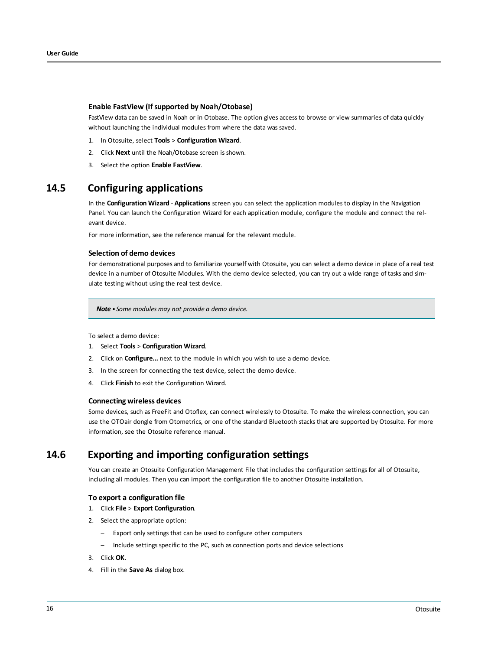## **Enable FastView (Ifsupported by Noah/Otobase)**

FastView data can be saved in Noah or in Otobase. The option gives access to browse or view summaries of data quickly without launching the individual modules from where the data was saved.

- 1. In Otosuite, select **Tools** > **Configuration Wizard**.
- 2. Click **Next** until the Noah/Otobase screen is shown.
- <span id="page-15-0"></span>3. Select the option **Enable FastView**.

# **14.5 Configuring applications**

In the **Configuration Wizard** - **Applications** screen you can select the application modules to display in the Navigation Panel. You can launch the Configuration Wizard for each application module, configure the module and connect the relevant device.

For more information, see the reference manual for the relevant module.

### **Selection of demo devices**

For demonstrational purposes and to familiarize yourself with Otosuite, you can select a demo device in place of a real test device in a number of Otosuite Modules. With the demo device selected, you can try out a wide range of tasks and simulate testing without using the real test device.

*Note • Some modules may not provide a demo device.*

To select a demo device:

- 1. Select **Tools** > **Configuration Wizard**.
- 2. Click on **Configure...** next to the module in which you wish to use a demo device.
- 3. In the screen for connecting the test device, select the demo device.
- 4. Click **Finish** to exit the Configuration Wizard.

### **Connecting wireless devices**

Some devices, such as FreeFit and Otoflex, can connect wirelessly to Otosuite. To make the wireless connection, you can use the OTOair dongle from Otometrics, or one of the standard Bluetooth stacks that are supported by Otosuite. For more information, see the Otosuite reference manual.

# **14.6 Exporting and importing configuration settings**

You can create an Otosuite Configuration Management File that includes the configuration settings for all of Otosuite, including all modules. Then you can import the configuration file to another Otosuite installation.

### **To export a configuration file**

- 1. Click **File** > **Export Configuration**.
- 2. Select the appropriate option:
	- Export only settings that can be used to configure other computers
	- Include settings specific to the PC, such as connection ports and device selections
- 3. Click **OK**.
- 4. Fill in the **Save As** dialog box.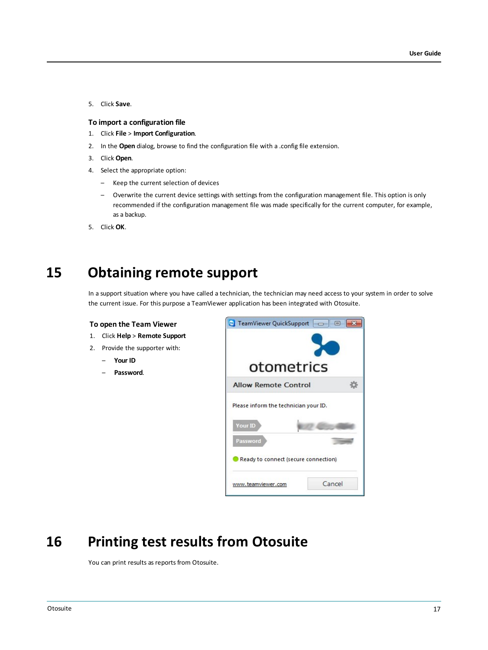5. Click **Save**.

## **To import a configuration file**

- 1. Click **File** > **Import Configuration**.
- 2. In the **Open** dialog, browse to find the configuration file with a .config file extension.
- 3. Click **Open**.
- 4. Select the appropriate option:
	- Keep the current selection of devices
	- Overwrite the current device settings with settings from the configuration management file. This option is only recommended if the configuration management file was made specifically for the current computer, for example, as a backup.
- <span id="page-16-0"></span>5. Click **OK**.

# **15 Obtaining remote support**

In a support situation where you have called a technician, the technician may need access to your system in order to solve the current issue. For this purpose a TeamViewer application has been integrated with Otosuite.

## **To open the Team Viewer**

- 1. Click **Help** > **Remote Support**
- 2. Provide the supporter with:
	- **Your ID**
	- **Password**.



# **16 Printing test results from Otosuite**

<span id="page-16-1"></span>You can print results as reports from Otosuite.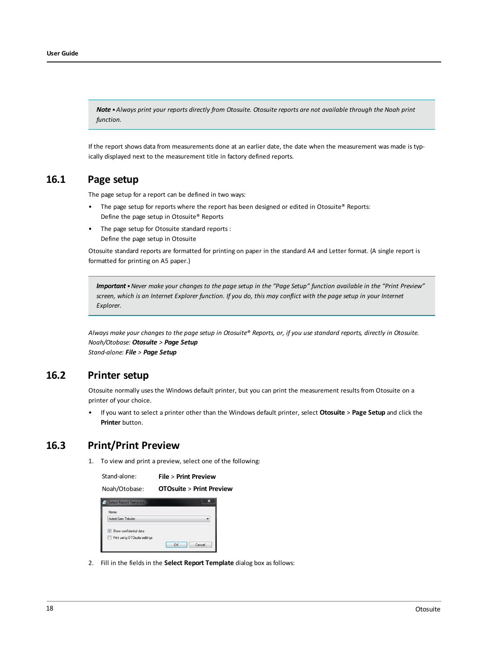Note . Always print your reports directly from Otosuite. Otosuite reports are not available through the Noah print *function.*

If the report shows data from measurements done at an earlier date, the date when the measurement was made is typically displayed next to the measurement title in factory defined reports.

# **16.1 Page setup**

The page setup for a report can be defined in two ways:

- The page setup for reports where the report has been designed or edited in Otosuite® Reports: Define the page setup in Otosuite® Reports
- The page setup for Otosuite standard reports : Define the page setup in Otosuite

Otosuite standard reports are formatted for printing on paper in the standard A4 and Letter format. (A single report is formatted for printing on A5 paper.)

**Important** • Never make your changes to the page setup in the "Page Setup" function available in the "Print Preview" screen, which is an Internet Explorer function. If you do, this may conflict with the page setup in your Internet *Explorer.*

Always make your changes to the page setup in Otosuite® Reports, or, if you use standard reports, directly in Otosuite. *Noah/Otobase: Otosuite > Page Setup Stand-alone: File > Page Setup*

# **16.2 Printer setup**

Otosuite normally uses the Windows default printer, but you can print the measurement results from Otosuite on a printer of your choice.

• If you want to select a printer other than the Windows default printer, select **Otosuite** > **Page Setup** and click the **Printer** button.

# **16.3 Print/Print Preview**

1. To view and print a preview, select one of the following:

| Stand-alone: |  | <b>File &gt; Print Preview</b> |
|--------------|--|--------------------------------|
|--------------|--|--------------------------------|

Noah/Otobase: **OTOsuite** > **Print Preview**

| Name:                         |  |
|-------------------------------|--|
| Aided Gain Tabular            |  |
|                               |  |
| Show confidential data        |  |
| Print using OTOsuite settings |  |

2. Fill in the fields in the **Select Report Template** dialog box as follows: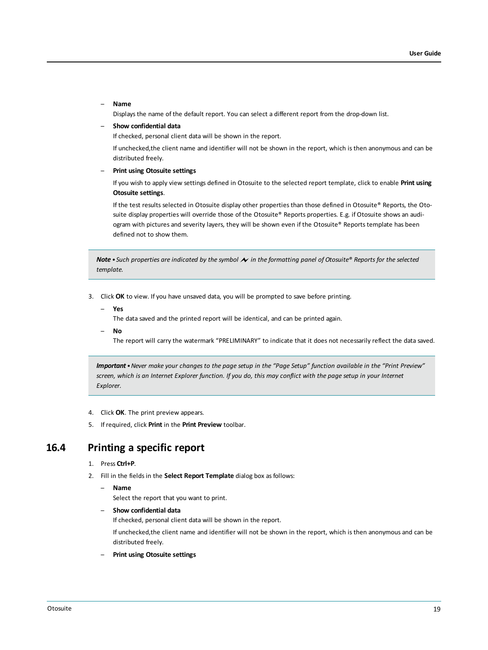### – **Name**

Displays the name of the default report. You can select a different report from the drop-down list.

### – **Show confidential data**

If checked, personal client data will be shown in the report.

If unchecked,the client name and identifier will not be shown in the report, which is then anonymous and can be distributed freely.

#### – **Print using Otosuite settings**

If you wish to apply view settings defined in Otosuite to the selected report template, click to enable **Print using Otosuite settings**.

If the test results selected in Otosuite display other properties than those defined in Otosuite® Reports, the Otosuite display properties will override those of the Otosuite® Reports properties. E.g. if Otosuite shows an audiogram with pictures and severity layers, they will be shown even if the Otosuite® Reports template has been defined not to show them.

Note • Such properties are indicated by the symbol  $\sim$  in the formatting panel of Otosuite® Reports for the selected *template.*

- 3. Click **OK** to view. If you have unsaved data, you will be prompted to save before printing.
	- **Yes**

The data saved and the printed report will be identical, and can be printed again.

– **No**

The report will carry the watermark "PRELIMINARY" to indicate that it does not necessarily reflect the data saved.

Important . Never make your changes to the page setup in the "Page Setup" function available in the "Print Preview" screen, which is an Internet Explorer function. If you do, this may conflict with the page setup in your Internet *Explorer.*

- 4. Click **OK**. The print preview appears.
- 5. If required, click **Print** in the **Print Preview** toolbar.

## **16.4 Printing a specific report**

- 1. Press **Ctrl+P**.
- 2. Fill in the fields in the **Select Report Template** dialog box as follows:

### – **Name**

Select the report that you want to print.

## – **Show confidential data**

If checked, personal client data will be shown in the report.

If unchecked,the client name and identifier will not be shown in the report, which is then anonymous and can be distributed freely.

– **Print using Otosuite settings**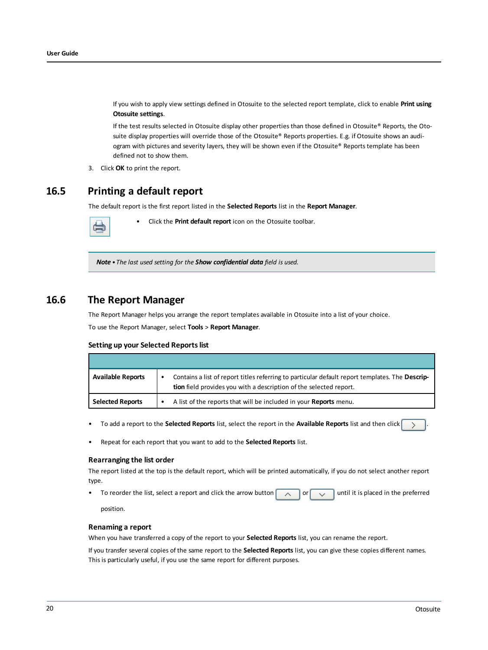If you wish to apply view settings defined in Otosuite to the selected report template, click to enable **Print using Otosuite settings**.

If the test results selected in Otosuite display other properties than those defined in Otosuite® Reports, the Otosuite display properties will override those of the Otosuite® Reports properties. E.g. if Otosuite shows an audiogram with pictures and severity layers, they will be shown even if the Otosuite® Reports template has been defined not to show them.

3. Click **OK** to print the report.

## **16.5 Printing a default report**

The default report is the first report listed in the **Selected Reports** list in the **Report Manager**.



• Click the **Print default report** icon on the Otosuite toolbar.

*Note • The last used setting for the Show confidential data field is used.*

# **16.6 The Report Manager**

The Report Manager helps you arrange the report templates available in Otosuite into a list of your choice.

To use the Report Manager, select **Tools** > **Report Manager**.

### **Setting up your Selected Reportslist**

| <b>Available Reports</b> | Contains a list of report titles referring to particular default report templates. The <b>Descrip-</b><br>tion field provides you with a description of the selected report. |
|--------------------------|------------------------------------------------------------------------------------------------------------------------------------------------------------------------------|
| <b>Selected Reports</b>  | A list of the reports that will be included in your <b>Reports</b> menu.                                                                                                     |

- To add a report to the **Selected Reports** list, select the report in the **Available Reports** list and then click  $\Box$
- Repeat for each report that you want to add to the **Selected Reports** list.

## **Rearranging the list order**

The report listed at the top is the default report, which will be printed automatically, if you do not select another report type.

To reorder the list, select a report and click the arrow button  $\alpha$  or  $\alpha$  or until it is placed in the preferred

position.

## **Renaming a report**

When you have transferred a copy of the report to your **Selected Reports** list, you can rename the report.

If you transfer several copies of the same report to the **Selected Reports** list, you can give these copies different names. This is particularly useful, if you use the same report for different purposes.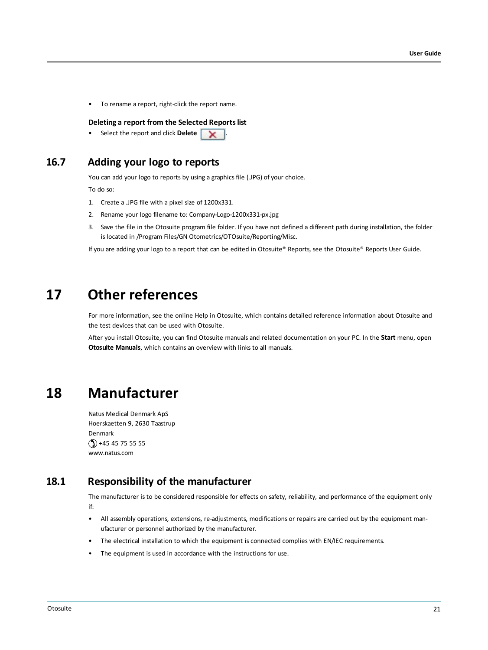• To rename a report, right-click the report name.

### **Deleting a report from the Selected Reportslist**

• Select the report and click Delete

# **16.7 Adding your logo to reports**

You can add your logo to reports by using a graphics file (.JPG) of your choice.

To do so:

- 1. Create a .JPG file with a pixel size of 1200x331.
- 2. Rename your logo filename to: Company-Logo-1200x331-px.jpg
- 3. Save the file in the Otosuite program file folder. If you have not defined a different path during installation, the folder is located in /Program Files/GN Otometrics/OTOsuite/Reporting/Misc.

<span id="page-20-0"></span>If you are adding your logo to a report that can be edited in Otosuite® Reports, see the Otosuite® Reports User Guide.

# **17 Other references**

For more information, see the online Help in Otosuite, which contains detailed reference information about Otosuite and the test devices that can be used with Otosuite.

<span id="page-20-1"></span>After you install Otosuite, you can find Otosuite manuals and related documentation on your PC. In the **Start** menu, open **Otosuite Manuals**, which contains an overview with links to all manuals.

# **18 Manufacturer**

Natus Medical Denmark ApS Hoerskaetten 9, 2630 Taastrup Denmark  $\circ$  +45 45 75 55 55 www.natus.com

## **18.1 Responsibility of the manufacturer**

The manufacturer is to be considered responsible for effects on safety, reliability, and performance of the equipment only if:

- All assembly operations, extensions, re-adjustments, modifications or repairs are carried out by the equipment manufacturer or personnel authorized by the manufacturer.
- The electrical installation to which the equipment is connected complies with EN/IEC requirements.
- The equipment is used in accordance with the instructions for use.